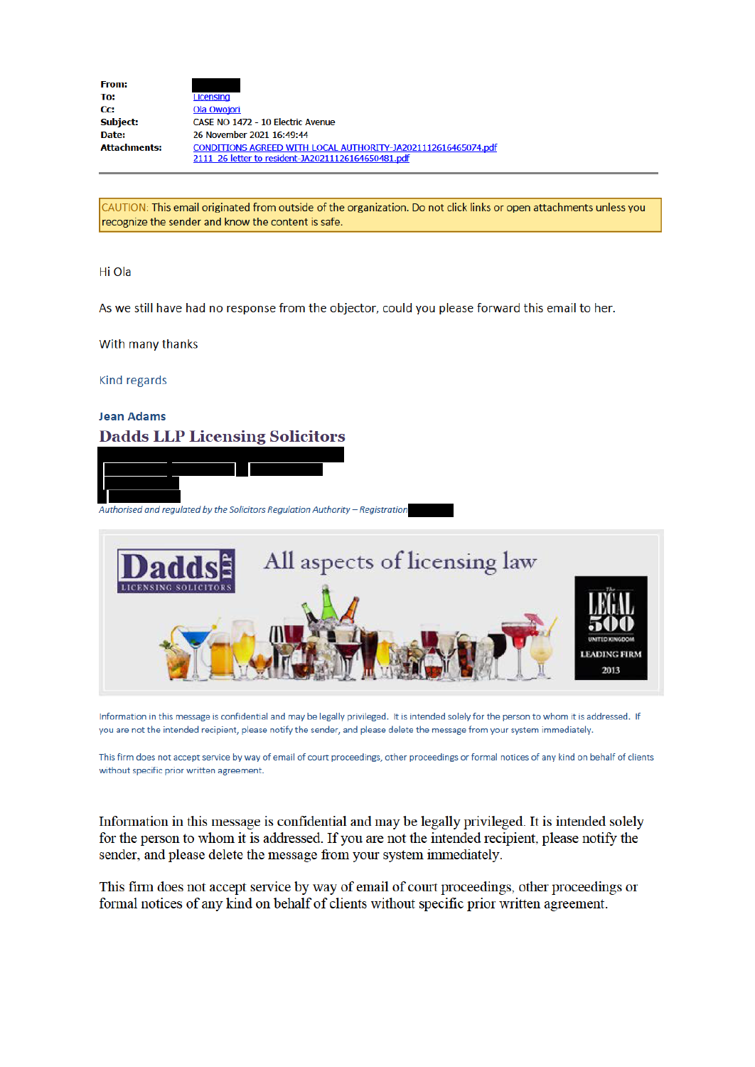| <b>From:</b>        |                                                               |
|---------------------|---------------------------------------------------------------|
| To:                 | Licensing                                                     |
| Cc:                 | Ola Owojori                                                   |
| Subject:            | CASE NO 1472 - 10 Electric Avenue                             |
| Date:               | 26 November 2021 16:49:44                                     |
| <b>Attachments:</b> | CONDITIONS AGREED WITH LOCAL AUTHORITY-JA2021112616465074.pdf |
|                     | 2111 26 letter to resident-JA20211126164650481.pdf            |

CAUTION: This email originated from outside of the organization. Do not click links or open attachments unless you recognize the sender and know the content is safe.

### Hi Ola

As we still have had no response from the objector, could you please forward this email to her.

#### With many thanks

Kind regards

# **Jean Adams Dadds LLP Licensing Solicitors**





Information in this message is confidential and may be legally privileged. It is intended solely for the person to whom it is addressed. If you are not the intended recipient, please notify the sender, and please delete the message from your system immediately.

This firm does not accept service by way of email of court proceedings, other proceedings or formal notices of any kind on behalf of clients without specific prior written agreement.

Information in this message is confidential and may be legally privileged. It is intended solely for the person to whom it is addressed. If you are not the intended recipient, please notify the sender, and please delete the message from your system immediately.

This firm does not accept service by way of email of court proceedings, other proceedings or formal notices of any kind on behalf of clients without specific prior written agreement.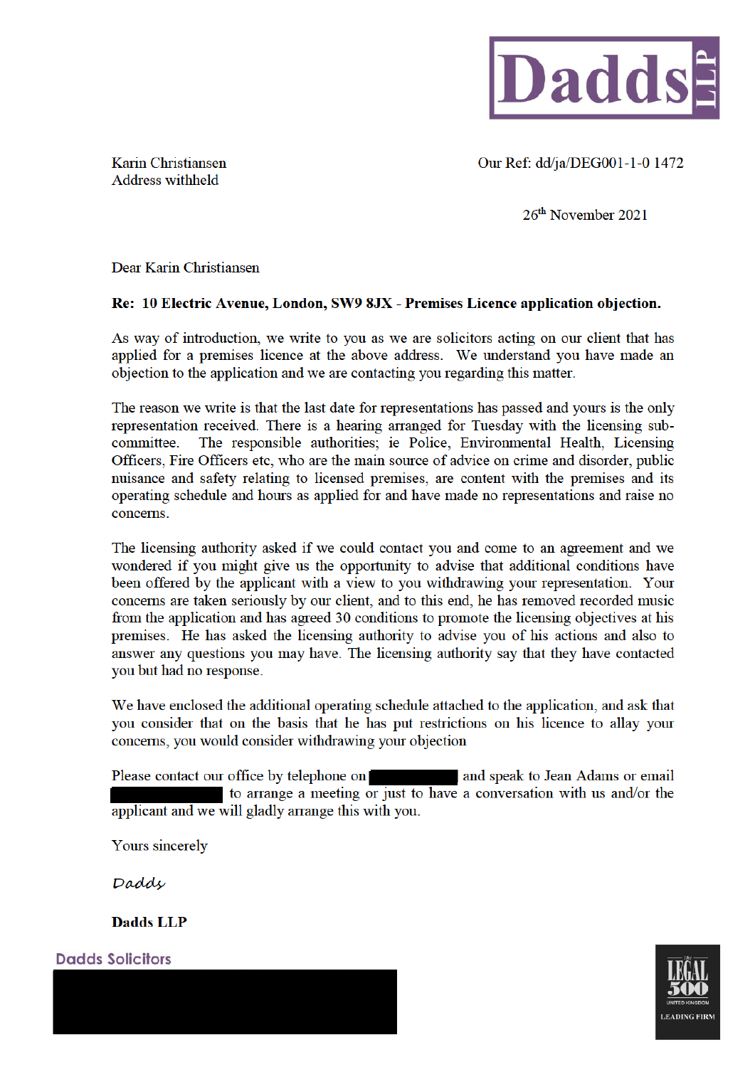

Karin Christiansen Address withheld

Our Ref: dd/ia/DEG001-1-0 1472

 $26<sup>th</sup>$  November 2021

Dear Karin Christiansen

## Re: 10 Electric Avenue, London, SW9 8JX - Premises Licence application obiection.

As way of introduction, we write to you as we are solicitors acting on our client that has applied for a premises licence at the above address. We understand you have made an objection to the application and we are contacting you regarding this matter.

The reason we write is that the last date for representations has passed and yours is the only representation received. There is a hearing arranged for Tuesday with the licensing subcommittee. The responsible authorities; ie Police, Environmental Health, Licensing Officers, Fire Officers etc. who are the main source of advice on crime and disorder, public nuisance and safety relating to licensed premises, are content with the premises and its operating schedule and hours as applied for and have made no representations and raise no concerns.

The licensing authority asked if we could contact you and come to an agreement and we wondered if you might give us the opportunity to advise that additional conditions have been offered by the applicant with a view to you withdrawing your representation. Your concerns are taken seriously by our client, and to this end, he has removed recorded music from the application and has agreed 30 conditions to promote the licensing objectives at his premises. He has asked the licensing authority to advise you of his actions and also to answer any questions you may have. The licensing authority say that they have contacted you but had no response.

We have enclosed the additional operating schedule attached to the application, and ask that vou consider that on the basis that he has put restrictions on his licence to allay your concerns, you would consider withdrawing your objection

Please contact our office by telephone on and speak to Jean Adams or email to arrange a meeting or just to have a conversation with us and/or the applicant and we will gladly arrange this with you.

Yours sincerely

Dadde

**Dadds LLP** 



**Dadds Solicitors**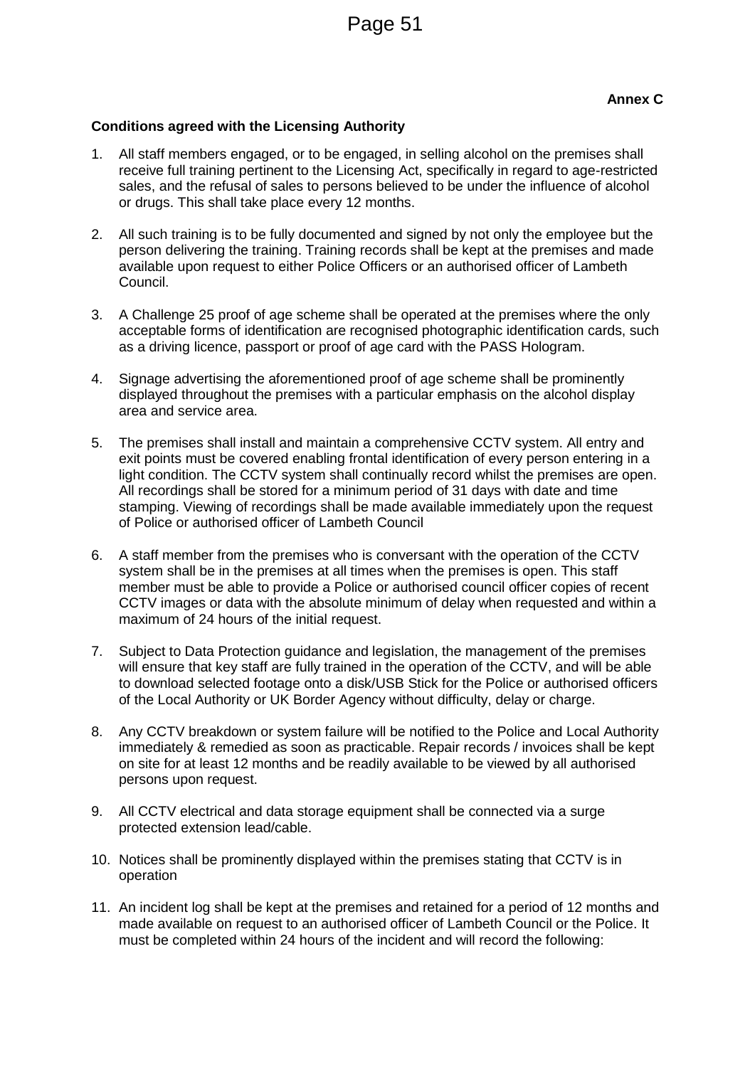## **Conditions agreed with the Licensing Authority**

- 1. All staff members engaged, or to be engaged, in selling alcohol on the premises shall receive full training pertinent to the Licensing Act, specifically in regard to age-restricted sales, and the refusal of sales to persons believed to be under the influence of alcohol or drugs. This shall take place every 12 months.
- 2. All such training is to be fully documented and signed by not only the employee but the person delivering the training. Training records shall be kept at the premises and made available upon request to either Police Officers or an authorised officer of Lambeth Council.
- 3. A Challenge 25 proof of age scheme shall be operated at the premises where the only acceptable forms of identification are recognised photographic identification cards, such as a driving licence, passport or proof of age card with the PASS Hologram.
- 4. Signage advertising the aforementioned proof of age scheme shall be prominently displayed throughout the premises with a particular emphasis on the alcohol display area and service area.
- 5. The premises shall install and maintain a comprehensive CCTV system. All entry and exit points must be covered enabling frontal identification of every person entering in a light condition. The CCTV system shall continually record whilst the premises are open. All recordings shall be stored for a minimum period of 31 days with date and time stamping. Viewing of recordings shall be made available immediately upon the request of Police or authorised officer of Lambeth Council
- 6. A staff member from the premises who is conversant with the operation of the CCTV system shall be in the premises at all times when the premises is open. This staff member must be able to provide a Police or authorised council officer copies of recent CCTV images or data with the absolute minimum of delay when requested and within a maximum of 24 hours of the initial request.
- 7. Subject to Data Protection guidance and legislation, the management of the premises will ensure that key staff are fully trained in the operation of the CCTV, and will be able to download selected footage onto a disk/USB Stick for the Police or authorised officers of the Local Authority or UK Border Agency without difficulty, delay or charge.
- 8. Any CCTV breakdown or system failure will be notified to the Police and Local Authority immediately & remedied as soon as practicable. Repair records / invoices shall be kept on site for at least 12 months and be readily available to be viewed by all authorised persons upon request.
- 9. All CCTV electrical and data storage equipment shall be connected via a surge protected extension lead/cable.
- 10. Notices shall be prominently displayed within the premises stating that CCTV is in operation
- 11. An incident log shall be kept at the premises and retained for a period of 12 months and made available on request to an authorised officer of Lambeth Council or the Police. It must be completed within 24 hours of the incident and will record the following: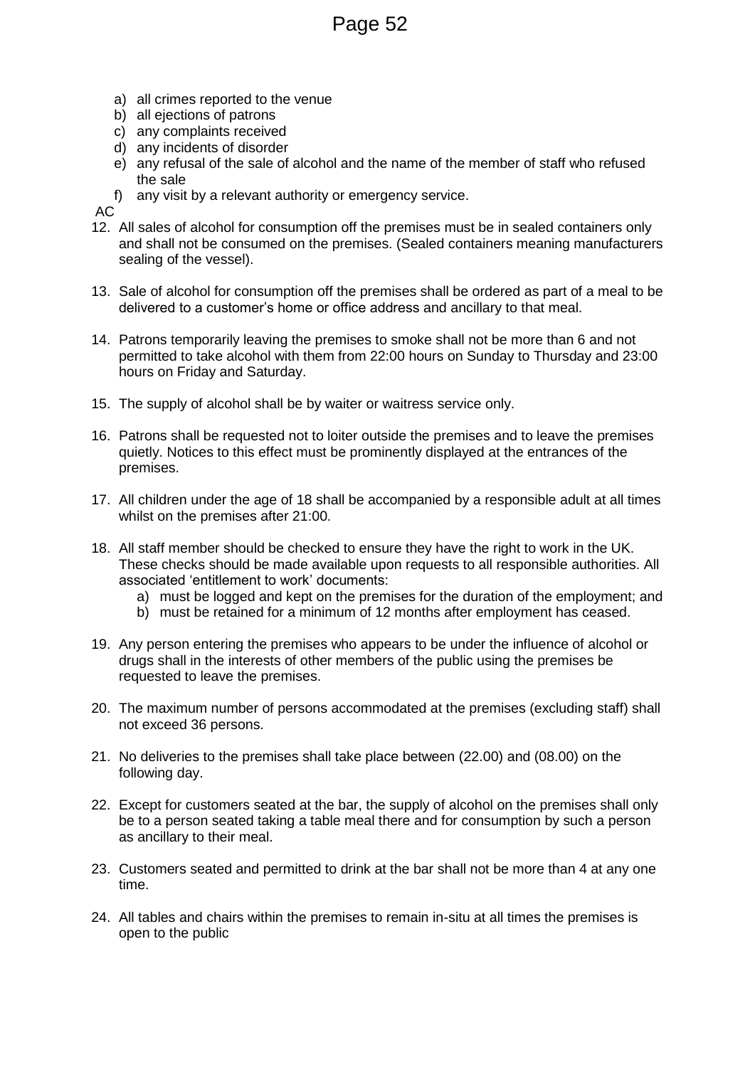Page 52

- a) all crimes reported to the venue
- b) all ejections of patrons
- c) any complaints received
- d) any incidents of disorder
- e) any refusal of the sale of alcohol and the name of the member of staff who refused the sale
- f) any visit by a relevant authority or emergency service.

AC

- 12. All sales of alcohol for consumption off the premises must be in sealed containers only and shall not be consumed on the premises. (Sealed containers meaning manufacturers sealing of the vessel).
- 13. Sale of alcohol for consumption off the premises shall be ordered as part of a meal to be delivered to a customer's home or office address and ancillary to that meal.
- 14. Patrons temporarily leaving the premises to smoke shall not be more than 6 and not permitted to take alcohol with them from 22:00 hours on Sunday to Thursday and 23:00 hours on Friday and Saturday.
- 15. The supply of alcohol shall be by waiter or waitress service only.
- 16. Patrons shall be requested not to loiter outside the premises and to leave the premises quietly. Notices to this effect must be prominently displayed at the entrances of the premises.
- 17. All children under the age of 18 shall be accompanied by a responsible adult at all times whilst on the premises after 21:00.
- 18. All staff member should be checked to ensure they have the right to work in the UK. These checks should be made available upon requests to all responsible authorities. All associated 'entitlement to work' documents:
	- a) must be logged and kept on the premises for the duration of the employment; and
	- b) must be retained for a minimum of 12 months after employment has ceased.
- 19. Any person entering the premises who appears to be under the influence of alcohol or drugs shall in the interests of other members of the public using the premises be requested to leave the premises.
- 20. The maximum number of persons accommodated at the premises (excluding staff) shall not exceed 36 persons.
- 21. No deliveries to the premises shall take place between (22.00) and (08.00) on the following day.
- 22. Except for customers seated at the bar, the supply of alcohol on the premises shall only be to a person seated taking a table meal there and for consumption by such a person as ancillary to their meal.
- 23. Customers seated and permitted to drink at the bar shall not be more than 4 at any one time.
- 24. All tables and chairs within the premises to remain in-situ at all times the premises is open to the public